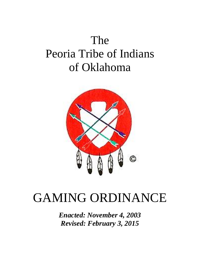# The Peoria Tribe of Indians of Oklahoma



# GAMING ORDINANCE

*Enacted: November 4, 2003 Revised: February 3, 2015*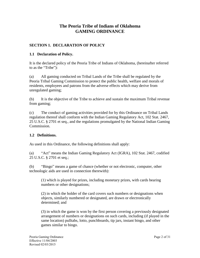# **The Peoria Tribe of Indians of Oklahoma GAMING ORDINANCE**

## **SECTION 1. DECLARATION OF POLICY**

## **1.1 Declaration of Policy.**

It is the declared policy of the Peoria Tribe of Indians of Oklahoma, (hereinafter referred to as the "Tribe"):

(a) All gaming conducted on Tribal Lands of the Tribe shall be regulated by the Peoria Tribal Gaming Commission to protect the public health, welfare and morals of residents, employees and patrons from the adverse effects which may derive from unregulated gaming;

(b) It is the objective of the Tribe to achieve and sustain the maximum Tribal revenue from gaming;

(c) The conduct of gaming activities provided for by this Ordinance on Tribal Lands regulation thereof shall conform with the Indian Gaming Regulatory Act, 102 Stat. 2467, 25 U.S.C. § 2701 et seq., and the regulations promulgated by the National Indian Gaming Commission.

## **1.2 Definitions.**

As used in this Ordinance, the following definitions shall apply:

(a) "Act" means the Indian Gaming Regulatory Act (IGRA), 102 Stat. 2467, codified 25 U.S.C. § 2701 et seq.;

(b) "Bingo" means a game of chance (whether or not electronic, computer, other technologic aids are used in connection therewith):

(1) which is played for prizes, including monetary prizes, with cards bearing numbers or other designations;

(2) in which the holder of the card covers such numbers or designations when objects, similarly numbered or designated, are drawn or electronically determined; and

(3) in which the game is won by the first person covering a previously designated arrangement of numbers or designations on such cards, including (if played in the same location) pulltabs, lotto, punchboards, tip jars, instant bingo, and other games similar to bingo.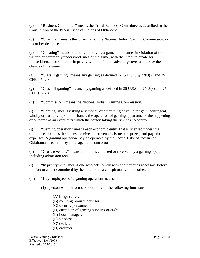(c) "Business Committee" means the Tribal Business Committee as described in the Constitution of the Peoria Tribe of Indians of Oklahoma.

(d) "Chairman" means the Chairman of the National Indian Gaming Commission, or his or her designee.

(e) "Cheating" means operating or playing a game in a manner in violation of the written or commonly understood rules of the game, with the intent to create for himself/herself or someone in privity with him/her an advantage over and above the chance of the game.

(f) "Class II gaming" means any gaming as defined in 25 U.S.C. § 2703(7) and 25 CFR § 502.3.

(g) "Class III gaming" means any gaming as defined in 25 U.S.C. § 2703(8) and 25 CFR § 502.4.

(h) "Commission" means the National Indian Gaming Commission.

(i) "Gaming" means risking any money or other thing of value for gain, contingent, wholly or partially, upon lot, chance, the operation of gaming apparatus, or the happening or outcome of an event over which the person taking the risk has no control.

(j) "Gaming operation" means each economic entity that is licensed under this ordinance, operates the games, receives the revenues, issues the prizes, and pays the expenses. A gaming operation may be operated by the Peoria Tribe of Indians of Oklahoma directly or by a management contractor.

(k) "Gross revenues" means all monies collected or received by a gaming operation, including admission fees.

(l) "In privity with" means one who acts jointly with another or as accessory before the fact to an act committed by the other or as a conspirator with the other.

(m) "Key employee" of a gaming operation means:

(1) a person who performs one or more of the following functions:

- (A) bingo caller;
- (B) counting room supervisor;
- (C) security personnel;
- (D) custodian of gaming supplies or cash;
- (E) floor manager;
- (F) pit boss;
- (G) dealer;
- (H) croupier;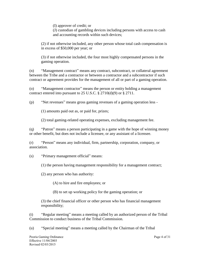(I) approver of credit; or

(J) custodian of gambling devices including persons with access to cash and accounting records within such devices;

(2) if not otherwise included, any other person whose total cash compensation is in excess of \$50,000 per year; or

(3) if not otherwise included, the four most highly compensated persons in the gaming operation.

(n) "Management contract" means any contract, subcontract, or collateral agreement between the Tribe and a contractor or between a contractor and a subcontractor if such contract or agreement provides for the management of all or part of a gaming operation.

(o) "Management contractor" means the person or entity holding a management contract entered into pursuant to 25 U.S.C.  $\S 2710(d)(9)$  or  $\S 2711$ .

(p) "Net revenues" means gross gaming revenues of a gaming operation less -

(1) amounts paid out as, or paid for, prizes;

(2) total gaming-related operating expenses, excluding management fee.

(q) "Patron" means a person participating in a game with the hope of winning money or other benefit, but does not include a licensee, or any assistant of a licensee.

(r) "Person" means any individual, firm, partnership, corporation, company, or association.

(s) "Primary management official" means:

(1) the person having management responsibility for a management contract;

(2) any person who has authority:

(A) to hire and fire employees; or

(B) to set up working policy for the gaming operation; or

(3) the chief financial officer or other person who has financial management responsibility;

(t) "Regular meeting" means a meeting called by an authorized person of the Tribal Commission to conduct business of the Tribal Commission.

(u) "Special meeting" means a meeting called by the Chairman of the Tribal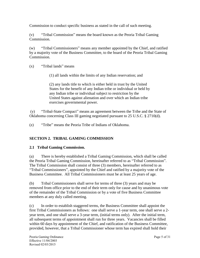Commission to conduct specific business as stated in the call of such meeting.

(v) "Tribal Commission" means the board known as the Peoria Tribal Gaming Commission.

(w) "Tribal Commissioners" means any member appointed by the Chief, and ratified by a majority vote of the Business Committee, to the board of the Peoria Tribal Gaming Commission.

(x) "Tribal lands" means

(1) all lands within the limits of any Indian reservation; and

(2) any lands title to which is either held in trust by the United States for the benefit of any Indian tribe or individual or held by any Indian tribe or individual subject to restriction by the United States against alienation and over which an Indian tribe exercises governmental power.

(y) "Tribal-State Compact" means an agreement between the Tribe and the State of Oklahoma concerning Class III gaming negotiated pursuant to 25 U.S.C. § 2710(d).

(z) "Tribe" means the Peoria Tribe of Indians of Oklahoma.

# **SECTION 2. TRIBAL GAMING COMMISSION**

## **2.1 Tribal Gaming Commission.**

(a) There is hereby established a Tribal Gaming Commission, which shall be called the Peoria Tribal Gaming Commission, hereinafter referred to as "Tribal Commission". The Tribal Commission shall consist of three (3) members, hereinafter referred to as "Tribal Commissioners", appointed by the Chief and ratified by a majority vote of the Business Committee. All Tribal Commissioners must be at least 25 years of age.

(b) Tribal Commissioners shall serve for terms of three (3) years and may be removed from office prior to the end of their term only for cause and by unanimous vote of the remainder of the Tribal Commission or by a vote of five Business Committee members at any duly called meeting.

(c) In order to establish staggered terms, the Business Committee shall appoint the first Tribal Commissioners as follows: one shall serve a 1-year term, one shall serve a 2 year term, and one shall serve a 3-year term, (initial terms only). After the initial term, all subsequent terms of appointment shall run for three years. Vacancies shall be filled within 60 days by appointment of the Chief, and ratification of the Business Committee, provided, however, that a Tribal Commissioner whose term has expired shall hold their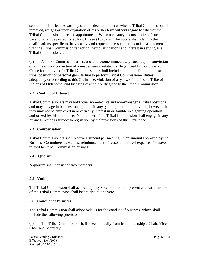seat until it is filled. A vacancy shall be deemed to occur when a Tribal Commissioner is removed, resigns or upon expiration of his or her term without regard to whether the Tribal Commissioner seeks reappointment. When a vacancy occurs, notice of such vacancy shall be posted for at least fifteen (15) days. The notice shall identify the qualifications specific to the vacancy, and request interested parties to file a statement with the Tribal Commission reflecting their qualifications and interest in serving as a Tribal Commissioner.

(d) A Tribal Commissioner's seat shall become immediately vacant upon conviction of any felony or conviction of a misdemeanor related to illegal gambling or bribery. Cause for removal of a Tribal Commissioner shall include but not be limited to: use of a tribal position for personal gain, failure to perform Tribal Commissioner duties adequately or according to this Ordinance, violation of any law of the Peoria Tribe of Indians of Oklahoma, and bringing discredit or disgrace to the Tribal Commission.

## **2.2 Conflict of Interest.**

Tribal Commissioners may hold other non-elective and non-managerial tribal positions and may engage in business and gamble in any gaming operation, provided, however that they may not be employed in or own any interest in or gamble in a gaming operation authorized by this ordinance. No member of the Tribal Commission shall engage in any business which is subject to regulation by the provisions of this Ordinance.

#### **2.3 Compensation.**

Tribal Commissioners shall receive a stipend per meeting, in an amount approved by the Business Committee, as well as, reimbursement of reasonable travel expenses for travel related to Tribal Commission business.

#### **2.4 Quorum.**

A quorum shall consist of two members.

#### **2.5 Voting.**

The Tribal Commission shall act by majority vote of a quorum present and each member of the Tribal Commission shall be entitled to one vote.

#### **2.6 Conduct of Business.**

The Tribal Commission shall adopt bylaws for the conduct of business, which shall include the following provisions:

(a) The Tribal Commission shall select annually from its membership a Chair, Vice-Chair and Secretary.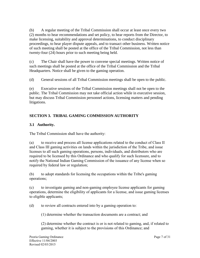(b) A regular meeting of the Tribal Commission shall occur at least once every two (2) months to hear recommendations and set policy, to hear reports from the Director, to make licensing, suitability and approval determinations, to conduct disciplinary proceedings, to hear player dispute appeals, and to transact other business. Written notice of such meeting shall be posted at the office of the Tribal Commission, not less than twenty-four (24) hours prior to such meeting being held.

(c) The Chair shall have the power to convene special meetings. Written notice of such meetings shall be posted at the office of the Tribal Commission and the Tribal Headquarters. Notice shall be given to the gaming operation.

(d) General sessions of all Tribal Commission meetings shall be open to the public.

(e) Executive sessions of the Tribal Commission meetings shall not be open to the public. The Tribal Commission may not take official action while in executive session, but may discuss Tribal Commission personnel actions, licensing matters and pending litigations.

# **SECTION 3. TRIBAL GAMING COMMISSION AUTHORITY**

## **3.1 Authority.**

The Tribal Commission shall have the authority:

(a) to receive and process all license applications related to the conduct of Class II and Class III gaming activities on lands within the jurisdiction of the Tribe, and issue licenses to all such gaming operations, persons, individuals, and distributors who are required to be licensed by this Ordinance and who qualify for such licensure, and to notify the National Indian Gaming Commission of the issuance of any license when so required by federal law or regulation;

(b) to adopt standards for licensing the occupations within the Tribe's gaming operations;

(c) to investigate gaming and non-gaming employee license applicants for gaming operations, determine the eligibility of applicants for a license, and issue gaming licenses to eligible applicants;

(d) to review all contracts entered into by a gaming operation to:

(1) determine whether the transaction documents are a contract; and

(2) determine whether the contract is or is not related to gaming, and, if related to gaming, whether it is subject to the provisions of this Ordinance; and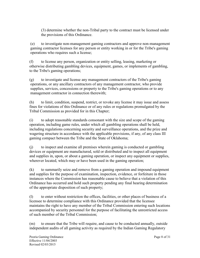(3) determine whether the non-Tribal party to the contract must be licensed under the provisions of this Ordinance.

(e) to investigate non-management gaming contractors and approve non-management gaming contractor licenses for any person or entity working in or for the Tribe's gaming operations who requires such a license;

(f) to license any person, organization or entity selling, leasing, marketing or otherwise distributing gambling devices, equipment, games, or implements of gambling, to the Tribe's gaming operations;

(g) to investigate and license any management contractors of the Tribe's gaming operations, or any ancillary contractors of any management contractor, who provide supplies, services, concessions or property to the Tribe's gaming operations or to any management contractor in connection therewith;

(h) to limit, condition, suspend, restrict, or revoke any license it may issue and assess fines for violations of this Ordinance or of any rules or regulations promulgated by the Tribal Commission as provided for in this Chapter;

(i) to adopt reasonable standards consonant with the size and scope of the gaming operation, including game rules, under which all gambling operations shall be held, including regulations concerning security and surveillance operations, and the prize and wagering structure in accordance with the applicable provisions, if any, of any class III gaming compact between the Tribe and the State of Oklahoma;

(j) to inspect and examine all premises wherein gaming is conducted or gambling devices or equipment are manufactured, sold or distributed and to inspect all equipment and supplies in, upon, or about a gaming operation, or inspect any equipment or supplies, wherever located, which may or have been used in the gaming operation;

(k) to summarily seize and remove from a gaming operation and impound equipment and supplies for the purpose of examination, inspection, evidence, or forfeiture in those instances where the Commission has reasonable cause to believe that a violation of this Ordinance has occurred and hold such property pending any final hearing determination of the appropriate disposition of such property;

(l) to enter without restriction the offices, facilities, or other places of business of a licensee to determine compliance with this Ordinance provided that the licensee maintains the right to have any member of the Tribal Commission entering such locations accompanied by security personnel for the purpose of facilitating the unrestricted access of such member of the Tribal Commission;

(m) to ensure that the Tribe will require, and cause to be conducted annually, outside independent audits of all gaming activity as required by the Indian Gaming Regulatory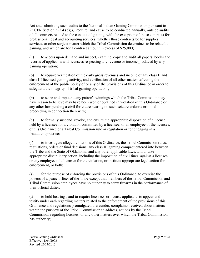Act and submitting such audits to the National Indian Gaming Commission pursuant to 25 CFR Section 522.4 (b)(3); require, and cause to be conducted annually, outside audits of all contracts related to the conduct of gaming, with the exception of those contracts for professional legal and accounting services, whether those contracts be for supplies, services, or other subject matter which the Tribal Commission determines to be related to gaming, and which are for a contract amount in excess of \$25,000;

(n) to access upon demand and inspect, examine, copy and audit all papers, books and records of applicants and licensees respecting any revenue or income produced by any gaming operation;

(o) to require verification of the daily gross revenues and income of any class II and class III licensed gaming activity, and verification of all other matters affecting the enforcement of the public policy of or any of the provisions of this Ordinance in order to safeguard the integrity of tribal gaming operations;

(p) to seize and impound any patron's winnings which the Tribal Commission may have reason to believe may have been won or obtained in violation of this Ordinance or any other law pending a civil forfeiture hearing on such seizure and/or a criminal proceeding in connection therewith;

(q) to formally suspend, revoke, and ensure the appropriate disposition of a license held by a licensee for a violation committed by a licensee, or an employee of the licensee, of this Ordinance or a Tribal Commission rule or regulation or for engaging in a fraudulent practice;

(r) to investigate alleged violations of this Ordinance, the Tribal Commission rules, regulations, orders or final decisions, any class III gaming compact entered into between the Tribe and the State of Oklahoma, and any other applicable laws, and to take appropriate disciplinary action, including the imposition of civil fines, against a licensee or any employee of a licensee for the violation, or institute appropriate legal action for enforcement, or both;

(s) for the purpose of enforcing the provisions of this Ordinance, to exercise the powers of a peace officer of the Tribe except that members of the Tribal Commission and Tribal Commission employees have no authority to carry firearms in the performance of their official duties;

(t) to hold hearings, and to require licensees or license applicants to appear and testify under oath regarding matters related to the enforcement of the provisions of this Ordinance and regulations promulgated thereunder, complaints received about matters within the purview of the Tribal Commission to address, actions by the Tribal Commission regarding licenses, or any other matters over which the Tribal Commission has authority;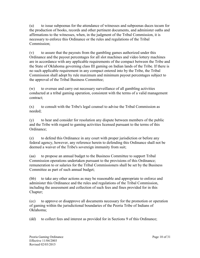(u) to issue subpoenas for the attendance of witnesses and subpoenas duces tecum for the production of books, records and other pertinent documents, and administer oaths and affirmations to the witnesses, when, in the judgment of the Tribal Commission, it is necessary to enforce this Ordinance or the rules and regulations of the Tribal Commission;

(v) to assure that the payouts from the gambling games authorized under this Ordinance and the payout percentages for all slot machines and video lottery machines are in accordance with any applicable requirements of the compact between the Tribe and the State of Oklahoma governing class III gaming on Indian lands of the Tribe. If there is no such applicable requirement in any compact entered into by the Tribe, the Tribal Commission shall adopt by rule maximum and minimum payout percentages subject to the approval of the Tribal Business Committee;

(w) to oversee and carry out necessary surveillance of all gambling activities conducted at a tribal gaming operation, consistent with the terms of a valid management contract;

(x) to consult with the Tribe's legal counsel to advise the Tribal Commission as needed;

(y) to hear and consider for resolution any dispute between members of the public and the Tribe with regard to gaming activities licensed pursuant to the terms of this Ordinance;

(z) to defend this Ordinance in any court with proper jurisdiction or before any federal agency, however, any reference herein to defending this Ordinance shall not be deemed a waiver of the Tribe's sovereign immunity from suit;

(aa) to propose an annual budget to the Business Committee to support Tribal Commission operations undertaken pursuant to the provisions of this Ordinance; remuneration to or salaries for the Tribal Commissioners shall be set by the Business Committee as part of such annual budget;

(bb) to take any other actions as may be reasonable and appropriate to enforce and administer this Ordinance and the rules and regulations of the Tribal Commission, including the assessment and collection of such fees and fines provided for in this Chapter;

(cc) to approve or disapprove all documents necessary for the promotion or operation of gaming within the jurisdictional boundaries of the Peoria Tribe of Indians of Oklahoma;

(dd) to collect fees and interest as provided for in Sections 9 of this Ordinance;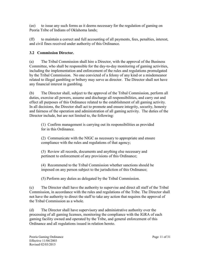(ee) to issue any such forms as it deems necessary for the regulation of gaming on Peoria Tribe of Indians of Oklahoma lands;

(ff) to maintain a correct and full accounting of all payments, fees, penalties, interest, and civil fines received under authority of this Ordinance.

# **3.2 Commission Director.**

(a) The Tribal Commission shall hire a Director, with the approval of the Business Committee, who shall be responsible for the day-to-day monitoring of gaming activities, including the implementation and enforcement of the rules and regulations promulgated by the Tribal Commission. No one convicted of a felony of any kind or a misdemeanor related to illegal gambling or bribery may serve as director. The Director shall not have any financial interest in gambling.

(b) The Director shall, subject to the approval of the Tribal Commission, perform all duties, exercise all powers, assume and discharge all responsibilities, and carry out and effect all purposes of this Ordinance related to the establishment of all gaming activity. In all decisions, the Director shall act to promote and ensure integrity, security, honesty and fairness of the operation and administration of all gaming activity. The duties of the Director include, but are not limited to, the following:

(1) Confirm management is carrying out its responsibilities as provided for in this Ordinance.

(2) Communicate with the NIGC as necessary to appropriate and ensure compliance with the rules and regulations of that agency;

(3) Review all records, documents and anything else necessary and pertinent to enforcement of any provisions of this Ordinance;

(4) Recommend to the Tribal Commission whether sanctions should be imposed on any person subject to the jurisdiction of this Ordinance;

(5) Perform any duties as delegated by the Tribal Commission.

(c) The Director shall have the authority to supervise and direct all staff of the Tribal Commission, in accordance with the rules and regulations of the Tribe. The Director shall not have the authority to direct the staff to take any action that requires the approval of the Tribal Commission as a whole.

(d) The Director shall have supervisory and administrative authority over the processing of all gaming licenses, monitoring the compliance with the IGRA of each gaming facility owned and operated by the Tribe, and general enforcement of this Ordinance and all regulations issued in relation hereto.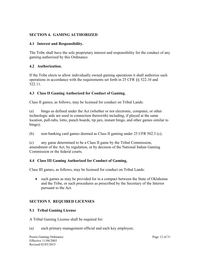## **SECTION 4. GAMING AUTHORIZED**

#### **4.1 Interest and Responsibility.**

The Tribe shall have the sole proprietary interest and responsibility for the conduct of any gaming authorized by this Ordinance.

## **4.2 Authorization.**

If the Tribe elects to allow individually owned gaming operations it shall authorize such operations in accordance with the requirements set forth in 25 CFR §§ 522.10 and 522.11.

## **4.3 Class II Gaming Authorized for Conduct of Gaming.**

Class II games, as follows, may be licensed for conduct on Tribal Lands:

(a) bingo as defined under the Act (whether or not electronic, computer, or other technologic aids are used in connection therewith) including, if played at the same location, pull-tabs, lotto, punch boards, tip jars, instant bingo, and other games similar to bingo);

(b) non-banking card games deemed as Class II gaming under 25 CFR 502.3 (c);

(c) any game determined to be a Class II game by the Tribal Commission, amendment of the Act, by regulation, or by decision of the National Indian Gaming Commission or the federal courts.

## **4.4 Class III Gaming Authorized for Conduct of Gaming,**

Class III games, as follows, may be licensed for conduct on Tribal Lands:

 such games as may be provided for in a compact between the State of Oklahoma and the Tribe, or such procedures as prescribed by the Secretary of the Interior pursuant to the Act.

## **SECTION 5. REQUIRED LICENSES**

## **5.1 Tribal Gaming License**

A Tribal Gaming License shall be required for:

(a) each primary management official and each key employee;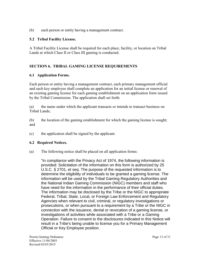(b) each person or entity having a management contract.

## **5.2 Tribal Facility License.**

A Tribal Facility License shall be required for each place, facility, or location on Tribal Lands at which Class II or Class III gaming is conducted.

## **SECTION 6. TRIBAL GAMING LICENSE REQUIREMENTS**

## **6.1 Application Forms.**

Each person or entity having a management contract, each primary management official and each key employee shall complete an application for an initial license or renewal of an existing gaming license for each gaming establishment on an application form issued by the Tribal Commission. The application shall set forth:

(a) the name under which the applicant transacts or intends to transact business on Tribal Lands;

(b) the location of the gaming establishment for which the gaming license is sought; and

(c) the application shall be signed by the applicant.

## **6.2 Required Notices.**

(a) The following notice shall be placed on all application forms:

"In compliance with the Privacy Act of 1974, the following information is provided: Solicitation of the information on this form is authorized by 25 U.S.C. § 2701, et seq. The purpose of the requested information is to determine the eligibility of individuals to be granted a gaming license. The information will be used by the Tribal Gaming Regulatory Authorities and the National Indian Gaming Commission (NIGC) members and staff who have need for the information in the performance of their official duties. The information may be disclosed by the Tribe or the NIGC to appropriate Federal, Tribal, State, Local, or Foreign Law Enforcement and Regulatory Agencies when relevant to civil, criminal, or regulatory investigations or prosecutions, or when pursuant to a requirement by a Tribe or the NIGC in connection with the issuance, denial or revocation of a gaming license, or investigations of activities while associated with a Tribe or a Gaming Operation. Failure to consent to the disclosures indicated in this Notice will result in a Tribe's being unable to license you for a Primary Management Official or Key Employee position.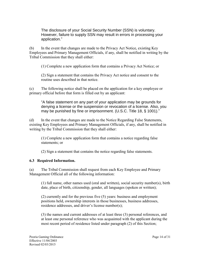The disclosure of your Social Security Number (SSN) is voluntary. However, failure to supply SSN may result in errors in processing your application."

(b) In the event that changes are made to the Privacy Act Notice, existing Key Employees and Primary Management Officials, if any, shall be notified in writing by the Tribal Commission that they shall either:

(1) Complete a new application form that contains a Privacy Act Notice; or

(2) Sign a statement that contains the Privacy Act notice and consent to the routine uses described in that notice.

(c) The following notice shall be placed on the application for a key employee or primary official before that form is filled out by an applicant:

"A false statement on any part of your application may be grounds for denying a license or the suspension or revocation of a license. Also, you may be punished by fine or imprisonment. (U.S.C. Title 18, § 1001)."

(d) In the event that changes are made to the Notice Regarding False Statements, existing Key Employees and Primary Management Officials, if any, shall be notified in writing by the Tribal Commission that they shall either:

(1) Complete a new application form that contains a notice regarding false statements; or

(2) Sign a statement that contains the notice regarding false statements.

#### **6.3 Required Information.**

(a) The Tribal Commission shall request from each Key Employee and Primary Management Official all of the following information:

(1) full name, other names used (oral and written), social security number(s), birth date, place of birth, citizenship, gender, all languages (spoken or written);

(2) currently and for the previous five (5) years: business and employment positions held, ownership interests in those businesses, business addresses, residence addresses, and driver's license number(s);

(3) the names and current addresses of at least three (3) personal references, and at least one personal reference who was acquainted with the applicant during the most recent period of residence listed under paragraph (2) of this Section;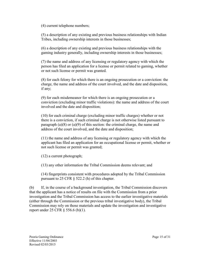(4) current telephone numbers;

(5) a description of any existing and previous business relationships with Indian Tribes, including ownership interests in those businesses;

(6) a description of any existing and previous business relationships with the gaming industry generally, including ownership interests in those businesses;

(7) the name and address of any licensing or regulatory agency with which the person has filed an application for a license or permit related to gaming, whether or not such license or permit was granted.

(8) for each felony for which there is an ongoing prosecution or a conviction: the charge, the name and address of the court involved, and the date and disposition, if any;

(9) for each misdemeanor for which there is an ongoing prosecution or a conviction (excluding minor traffic violations): the name and address of the court involved and the date and disposition;

(10) for each criminal charge (excluding minor traffic charges) whether or not there is a conviction, if such criminal charge is not otherwise listed pursuant to paragraph (a) $(8)$  or (a) $(9)$  of this section: the criminal charge, the name and address of the court involved, and the date and disposition;

(11) the name and address of any licensing or regulatory agency with which the applicant has filed an application for an occupational license or permit, whether or not such license or permit was granted;

(12) a current photograph;

(13) any other information the Tribal Commission deems relevant; and

(14) fingerprints consistent with procedures adopted by the Tribal Commission pursuant to 25 CFR § 522.2 (h) of this chapter.

(b) If, in the course of a background investigation, the Tribal Commission discovers that the applicant has a notice of results on file with the Commission from a prior investigation and the Tribal Commission has access to the earlier investigative materials (either through the Commission or the previous tribal investigative body), the Tribal Commission may rely on those materials and update the investigation and investigative report under 25 CFR § 556.6 (b)(1).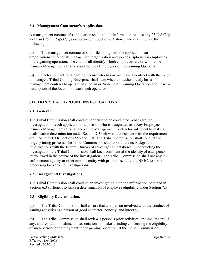## **6.4 Management Contractor's Application.**

A management contractor's application shall include information required by 25 U.S.C. § 2711 and 25 CFR §537.1, as referenced in Section 6.3 above, and shall include the following:

(a) The management contractor shall file, along with the application, an organizational chart of its management organization and job descriptions for employees of the gaming operation. The chart shall identify which employees are or will be the Primary Management Officials and the Key Employees of the Gaming Operation.

(b) Each applicant for a gaming license who has or will have a contract with the Tribe to manage a Tribal Gaming Enterprise shall state whether he/she already has a management contract to operate any Indian or Non-Indian Gaming Operation and, if so, a description of the location of each such operation.

## **SECTION 7. BACKGROUND INVESTIGATIONS**

## **7.1 General.**

The Tribal Commission shall conduct, or cause to be conducted, a background investigation of each applicant for a position who is designated as a Key Employee or Primary Management Official and of the Management Contractor sufficient to make a qualification determination under Section 7.3 below and consistent with the requirements outlined in 25 CFR Sections 556 and 558. The Tribal Commission shall conduct the fingerprinting process. The Tribal Commission shall coordinate its background investigations with the Federal Bureau of Investigation databases. In conducting the investigation, the Tribal Commission shall keep confidential the identity of each person interviewed in the course of the investigation. The Tribal Commission shall use any law enforcement agency or other capable entity with prior consent by the NIGC, to assist in processing background investigations.

## **7.2 Background Investigations.**

The Tribal Commission shall conduct an investigation with the information obtained in Section 6.3 sufficient to make a determination of employee eligibility under Section 7.3

## **7.3 Eligibility Determination.**

(a) The Tribal Commission shall ensure that any person involved with the conduct of gaming activities is a person of good character, honesty, and integrity.

(b) The Tribal Commission shall review a person's prior activities, criminal record, if any, and reputation, habits, and associations to make a finding concerning the eligibility of such person for employment in the gaming operation. If the Tribal Commission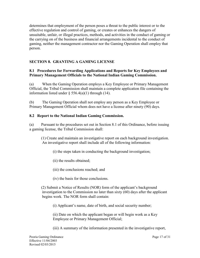determines that employment of the person poses a threat to the public interest or to the effective regulation and control of gaming, or creates or enhances the dangers of unsuitable, unfair, or illegal practices, methods, and activities in the conduct of gaming or the carrying on of the business and financial arrangements incidental to the conduct of gaming, neither the management contractor nor the Gaming Operation shall employ that person.

# **SECTION 8. GRANTING A GAMING LICENSE**

## **8.1 Procedures for Forwarding Applications and Reports for Key Employees and Primary Management Officials to the National Indian Gaming Commission.**

(a) When the Gaming Operation employs a Key Employee or Primary Management Official, the Tribal Commission shall maintain a complete application file containing the information listed under  $\S$  556.4(a)(1) through (14).

(b) The Gaming Operation shall not employ any person as a Key Employee or Primary Management Official whom does not have a license after ninety (90) days.

## **8.2 Report to the National Indian Gaming Commission.**

(a) Pursuant to the procedures set out in Section 8.1 of this Ordinance, before issuing a gaming license, the Tribal Commission shall:

(1) Create and maintain an investigative report on each background investigation. An investigative report shall include all of the following information:

(i) the steps taken in conducting the background investigation;

(ii) the results obtained;

(iii) the conclusions reached; and

(iv) the basis for those conclusions.

(2) Submit a Notice of Results (NOR) form of the applicant's background investigation to the Commission no later than sixty (60) days after the applicant begins work. The NOR form shall contain:

(i) Applicant's name, date of birth, and social security number;

(ii) Date on which the applicant began or will begin work as a Key Employee or Primary Management Official;

(iii) A summary of the information presented in the investigative report,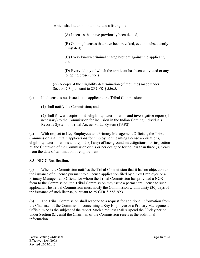which shall at a minimum include a listing of:

(A) Licenses that have previously been denied;

(B) Gaming licenses that have been revoked, even if subsequently reinstated;

(C) Every known criminal charge brought against the applicant; and

(D) Every felony of which the applicant has been convicted or any ongoing prosecutions.

(iv) A copy of the eligibility determination (if required) made under Section 7.3, pursuant to 25 CFR § 556.5.

(c) If a license is not issued to an applicant, the Tribal Commission:

(1) shall notify the Commission; and

(2) shall forward copies of its eligibility determination and investigative report (if necessary) to the Commission for inclusion in the Indian Gaming Individuals Records System or Tribal Access Portal System (TAPS).

(d) With respect to Key Employees and Primary Management Officials, the Tribal Commission shall retain applications for employment, gaming license applications, eligibility determinations and reports (if any) of background investigations, for inspection by the Chairman of the Commission or his or her designee for no less than three (3) years from the date of termination of employment.

## **8.3 NIGC Notification.**

(a) When the Commission notifies the Tribal Commission that it has no objection to the issuance of a license pursuant to a license application filed by a Key Employee or a Primary Management Official for whom the Tribal Commission has provided a NOR form to the Commission, the Tribal Commission may issue a permanent license to such applicant. The Tribal Commission must notify the Commission within thirty (30) days of the issuance of such license, pursuant to 25 CFR § 558.3(b).

(b) The Tribal Commission shall respond to a request for additional information from the Chairman of the Commission concerning a Key Employee or a Primary Management Official who is the subject of the report. Such a request shall suspend the 30-day period under Section 8.1, until the Chairman of the Commission receives the additional information.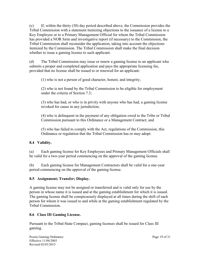(c) If, within the thirty (30) day period described above, the Commission provides the Tribal Commission with a statement itemizing objections to the issuance of a license to a Key Employee or to a Primary Management Official for whom the Tribal Commission has provided a NOR form and investigative report (if necessary) to the Commission, the Tribal Commission shall reconsider the application, taking into account the objections itemized by the Commission. The Tribal Commission shall make the final decision whether to issue a gaming license to such applicant.

(d) The Tribal Commission may issue or renew a gaming license to an applicant who submits a proper and completed application and pays the appropriate licensing fee, provided that no license shall be issued to or renewed for an applicant:

(1) who is not a person of good character, honest, and integrity;

(2) who is not found by the Tribal Commission to be eligible for employment under the criteria of Section 7.3;

(3) who has had, or who is in privity with anyone who has had, a gaming license revoked for cause in any jurisdiction;

(4) who is delinquent in the payment of any obligation owed to the Tribe or Tribal Commission pursuant to this Ordinance or a Management Contract; and

(5) who has failed to comply with the Act, regulations of the Commission, this Ordinance or regulation that the Tribal Commission has or may adopt.

## **8.4 Validity.**

(a) Each gaming license for Key Employees and Primary Management Officials shall be valid for a two-year period commencing on the approval of the gaming license.

(b) Each gaming license for Management Contractors shall be valid for a one-year period commencing on the approval of the gaming license.

## **8.5 Assignment; Transfer; Display.**

A gaming license may not be assigned or transferred and is valid only for use by the person in whose name it is issued and at the gaming establishment for which it is issued. The gaming license shall be conspicuously displayed at all times during the shift of each person for whom it was issued to and while at the gaming establishment regulated by the Tribal Commission.

## **8.6 Class III Gaming License.**

Pursuant to the Tribal-State Compact, gaming licenses shall be issued for Class III gaming.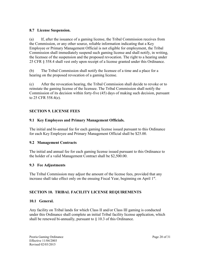#### **8.7 License Suspension.**

(a) If, after the issuance of a gaming license, the Tribal Commission receives from the Commission, or any other source, reliable information indicating that a Key Employee or Primary Management Official is not eligible for employment, the Tribal Commission shall immediately suspend such gaming license and shall notify, in writing, the licensee of the suspension and the proposed revocation. The right to a hearing under 25 CFR § 558.4 shall vest only upon receipt of a license granted under this Ordinance.

(b) The Tribal Commission shall notify the licensee of a time and a place for a hearing on the proposed revocation of a gaming license.

(c) After the revocation hearing, the Tribal Commission shall decide to revoke or to reinstate the gaming license of the licensee. The Tribal Commission shall notify the Commission of its decision within forty-five (45) days of making such decision, pursuant to 25 CFR 558.4(e).

## **SECTION 9. LICENSE FEES**

## **9.1 Key Employees and Primary Management Officials.**

The initial and bi-annual fee for each gaming license issued pursuant to this Ordinance for each Key Employee and Primary Management Official shall be \$25.00.

## **9.2 Management Contracts**

The initial and annual fee for each gaming license issued pursuant to this Ordinance to the holder of a valid Management Contract shall be \$2,500.00.

#### **9.3 Fee Adjustments**

The Tribal Commission may adjust the amount of the license fees, provided that any increase shall take effect only on the ensuing Fiscal Year, beginning on April 1st.

## **SECTION 10. TRIBAL FACILITY LICENSE REQUIREMENTS**

#### **10.1 General.**

Any facility on Tribal lands for which Class II and/or Class III gaming is conducted under this Ordinance shall complete an initial Tribal facility license application, which shall be renewed bi-annually, pursuant to § 10.3 of this Ordinance.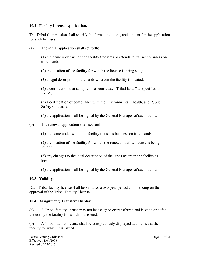#### **10.2 Facility License Application.**

The Tribal Commission shall specify the form, conditions, and content for the application for such licenses.

(a) The initial application shall set forth:

(1) the name under which the facility transacts or intends to transact business on tribal lands;

(2) the location of the facility for which the license is being sought;

(3) a legal description of the lands whereon the facility is located;

(4) a certification that said premises constitute "Tribal lands" as specified in IGRA;

(5) a certification of compliance with the Environmental, Health, and Public Safety standards;

(6) the application shall be signed by the General Manager of such facility.

(b) The renewal application shall set forth:

(1) the name under which the facility transacts business on tribal lands;

(2) the location of the facility for which the renewal facility license is being sought;

(3) any changes to the legal description of the lands whereon the facility is located;

(4) the application shall be signed by the General Manager of such facility.

#### **10.3 Validity.**

Each Tribal facility license shall be valid for a two-year period commencing on the approval of the Tribal Facility License.

#### **10.4 Assignment; Transfer; Display.**

(a) A Tribal facility license may not be assigned or transferred and is valid only for the use by the facility for which it is issued.

(b) A Tribal facility license shall be conspicuously displayed at all times at the facility for which it is issued.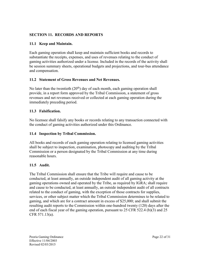## **SECTION 11. RECORDS AND REPORTS**

#### **11.1 Keep and Maintain.**

Each gaming operation shall keep and maintain sufficient books and records to substantiate the receipts, expenses, and uses of revenues relating to the conduct of gaming activities authorized under a license. Included in the records of the activity shall be session summary sheets, operational budgets and projections, and tour-bus attendance and compensation.

## **11.2 Statement of Gross Revenues and Net Revenues.**

No later than the twentieth  $(20<sup>th</sup>)$  day of each month, each gaming operation shall provide, in a report form approved by the Tribal Commission, a statement of gross revenues and net revenues received or collected at each gaming operation during the immediately preceding period.

## **11.3 Falsification.**

No licensee shall falsify any books or records relating to any transaction connected with the conduct of gaming activities authorized under this Ordinance.

#### **11.4 Inspection by Tribal Commission.**

All books and records of each gaming operation relating to licensed gaming activities shall be subject to inspection, examination, photocopy and auditing by the Tribal Commission or a person designated by the Tribal Commission at any time during reasonable hours.

#### **11.5 Audit.**

The Tribal Commission shall ensure that the Tribe will require and cause to be conducted, at least annually, an outside independent audit of all gaming activity at the gaming operations owned and operated by the Tribe, as required by IGRA; shall require and cause to be conducted, at least annually, an outside independent audit of all contracts related to the conduct of gaming, with the exception of those contracts for supplies, services, or other subject matter which the Tribal Commission determines to be related to gaming, and which are for a contract amount in excess of \$25,000; and shall submit the resulting audit reports to the Commission within one-hundred twenty (120) days after the end of each fiscal year of the gaming operation, pursuant to 25 CFR 522.4 (b)(3) and 25 CFR 571.13(a).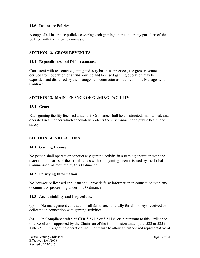#### **11.6 Insurance Policies**

A copy of all insurance policies covering each gaming operation or any part thereof shall be filed with the Tribal Commission.

## **SECTION 12. GROSS REVENUES**

## **12.1 Expenditures and Disbursements.**

Consistent with reasonable gaming industry business practices, the gross revenues derived from operation of a tribal-owned and licensed gaming operation may be expended and dispersed by the management contractor as outlined in the Management Contract.

## **SECTION 13. MAINTENANCE OF GAMING FACILITY**

## **13.1 General.**

Each gaming facility licensed under this Ordinance shall be constructed, maintained, and operated in a manner which adequately protects the environment and public health and safety.

## **SECTION 14. VIOLATIONS**

## **14.1 Gaming License.**

No person shall operate or conduct any gaming activity in a gaming operation with the exterior boundaries of the Tribal Lands without a gaming license issued by the Tribal Commission, as required by this Ordinance.

## **14.2 Falsifying Information.**

No licensee or licensed applicant shall provide false information in connection with any document or proceeding under this Ordinance.

## **14.3 Accountability and Inspections.**

(a) No management contractor shall fail to account fully for all moneys received or collected in connection with gaming activities.

(b) In Compliance with 25 CFR  $\S 571.5$  or  $\S 571.6$ , or in pursuant to this Ordinance or a Resolution approved by the Chairman of the Commission under parts 522 or 523 in Title 25 CFR, a gaming operation shall not refuse to allow an authorized representative of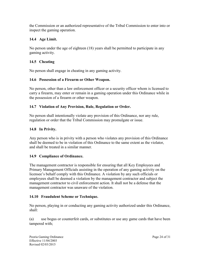the Commission or an authorized representative of the Tribal Commission to enter into or inspect the gaming operation.

## **14.4 Age Limit.**

No person under the age of eighteen (18) years shall be permitted to participate in any gaming activity.

## **14.5 Cheating**

No person shall engage in cheating in any gaming activity.

## **14.6 Possession of a Firearm or Other Weapon.**

No person, other than a law enforcement officer or a security officer whom is licensed to carry a firearm, may enter or remain in a gaming operation under this Ordinance while in the possession of a firearm or other weapon.

## **14.7 Violation of Any Provision, Rule, Regulation or Order.**

No person shall intentionally violate any provision of this Ordinance, nor any rule, regulation or order that the Tribal Commission may promulgate or issue.

## **14.8 In Privity.**

Any person who is in privity with a person who violates any provision of this Ordinance shall be deemed to be in violation of this Ordinance to the same extent as the violator, and shall be treated in a similar manner.

## **14.9 Compliance of Ordinance.**

The management contractor is responsible for ensuring that all Key Employees and Primary Management Officials assisting in the operation of any gaming activity on the licensee's behalf comply with this Ordinance. A violation by any such officials or employees shall be deemed a violation by the management contractor and subject the management contractor to civil enforcement action. It shall not be a defense that the management contractor was unaware of the violation.

## **14.10 Fraudulent Scheme or Technique.**

No person, playing in or conducting any gaming activity authorized under this Ordinance, shall:

(a) use bogus or counterfeit cards, or substitutes or use any game cards that have been tampered with;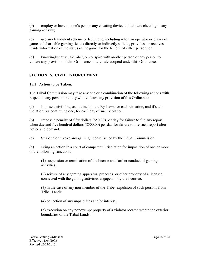(b) employ or have on one's person any cheating device to facilitate cheating in any gaming activity;

(c) use any fraudulent scheme or technique, including when an operator or player of games of charitable gaming tickets directly or indirectly solicits, provides, or receives inside information of the status of the game for the benefit of either person; or

(d) knowingly cause, aid, abet, or conspire with another person or any person to violate any provision of this Ordinance or any rule adopted under this Ordinance.

# **SECTION 15. CIVIL ENFORCEMENT**

# **15.1 Action to be Taken.**

The Tribal Commission may take any one or a combination of the following actions with respect to any person or entity who violates any provision of this Ordinance:

(a) Impose a civil fine, as outlined in the By-Laws for each violation, and if such violation is a continuing one, for each day of such violation.

(b) Impose a penalty of fifty dollars (\$50.00) per day for failure to file any report when due and five hundred dollars (\$500.00) per day for failure to file such report after notice and demand.

(c) Suspend or revoke any gaming license issued by the Tribal Commission.

(d) Bring an action in a court of competent jurisdiction for imposition of one or more of the following sanctions:

(1) suspension or termination of the license and further conduct of gaming activities;

(2) seizure of any gaming apparatus, proceeds, or other property of a licensee connected with the gaming activities engaged in by the licensee;

(3) in the case of any non-member of the Tribe, expulsion of such persons from Tribal Lands;

(4) collection of any unpaid fees and/or interest;

(5) execution on any nonexempt property of a violator located within the exterior boundaries of the Tribal Lands.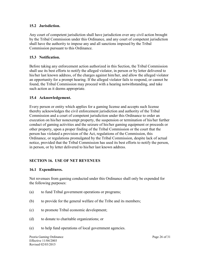#### **15.2 Jurisdiction.**

Any court of competent jurisdiction shall have jurisdiction over any civil action brought by the Tribal Commission under this Ordinance, and any court of competent jurisdiction shall have the authority to impose any and all sanctions imposed by the Tribal Commission pursuant to this Ordinance.

## **15.3 Notification.**

Before taking any enforcement action authorized in this Section, the Tribal Commission shall use its best efforts to notify the alleged violator, in person or by letter delivered to his/her last known address, of the charges against him/her, and allow the alleged violator an opportunity for a prompt hearing. If the alleged violator fails to respond, or cannot be found, the Tribal Commission may proceed with a hearing notwithstanding, and take such action as it deems appropriate.

## **15.4 Acknowledgement.**

Every person or entity which applies for a gaming license and accepts such license thereby acknowledges the civil enforcement jurisdiction and authority of the Tribal Commission and a court of competent jurisdiction under this Ordinance to order an execution on his/her nonexempt property, the suspension or termination of his/her further conduct of gaming activities and the seizure of his/her gaming equipment or proceeds or other property, upon a proper finding of the Tribal Commission or the court that the person has violated a provision of the Act, regulations of the Commission, this Ordinance, or regulations promulgated by the Tribal Commission, despite lack of actual notice, provided that the Tribal Commission has used its best efforts to notify the person, in person, or by letter delivered to his/her last known address.

## **SECTION 16. USE OF NET REVENUES**

#### **16.1 Expenditures.**

Net revenues from gaming conducted under this Ordinance shall only be expended for the following purposes:

- (a) to fund Tribal government operations or programs;
- (b) to provide for the general welfare of the Tribe and its members;
- (c) to promote Tribal economic development;
- (d) to donate to charitable organizations; or
- (e) to help fund operations of local government agencies.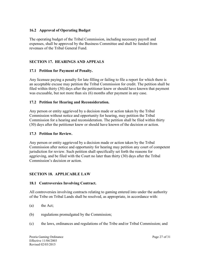#### **16.2 Approval of Operating Budget**

The operating budget of the Tribal Commission, including necessary payroll and expenses, shall be approved by the Business Committee and shall be funded from revenues of the Tribal General Fund.

## **SECTION 17. HEARINGS AND APPEALS**

#### **17.1 Petition for Payment of Penalty.**

Any licensee paying a penalty for late filling or failing to file a report for which there is an acceptable excuse may petition the Tribal Commission for credit. The petition shall be filed within thirty (30) days after the petitioner knew or should have known that payment was excusable, but not more than six (6) months after payment in any case.

#### **17.2 Petition for Hearing and Reconsideration.**

Any person or entity aggrieved by a decision made or action taken by the Tribal Commission without notice and opportunity for hearing, may petition the Tribal Commission for a hearing and reconsideration. The petition shall be filed within thirty (30) days after the petitioner knew or should have known of the decision or action.

#### **17.3 Petition for Review.**

Any person or entity aggrieved by a decision made or action taken by the Tribal Commission after notice and opportunity for hearing may petition any court of competent jurisdiction for review. Such petition shall specifically set forth the reasons for aggrieving, and be filed with the Court no later than thirty (30) days after the Tribal Commission's decision or action.

#### **SECTION 18. APPLICABLE LAW**

#### **18.1 Controversies Involving Contract.**

All controversies involving contracts relating to gaming entered into under the authority of the Tribe on Tribal Lands shall be resolved, as appropriate, in accordance with:

- (a) the Act;
- (b) regulations promulgated by the Commission;
- (c) the laws, ordinances and regulations of the Tribe and/or Tribal Commission; and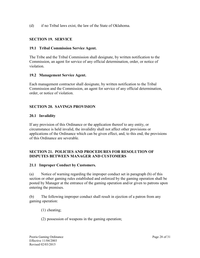(d) if no Tribal laws exist, the law of the State of Oklahoma.

## **SECTION 19. SERVICE**

#### **19.1 Tribal Commission Service Agent.**

The Tribe and the Tribal Commission shall designate, by written notification to the Commission, an agent for service of any official determination, order, or notice of violation.

#### **19.2 Management Service Agent.**

Each management contractor shall designate, by written notification to the Tribal Commission and the Commission, an agent for service of any official determination, order, or notice of violation.

#### **SECTION 20. SAVINGS PROVISION**

#### **20.1 Invalidity**

If any provision of this Ordinance or the application thereof to any entity, or circumstance is held invalid, the invalidity shall not affect other provisions or applications of the Ordinance which can be given effect, and, to this end, the provisions of this Ordinance are severable.

#### **SECTION 21. POLICIES AND PROCEDURES FOR RESOLUTION OF DISPUTES BETWEEN MANAGER AND CUSTOMERS**

#### **21.1 Improper Conduct by Customers.**

(a) Notice of warning regarding the improper conduct set in paragraph (b) of this section or other gaming rules established and enforced by the gaming operation shall be posted by Manager at the entrance of the gaming operation and/or given to patrons upon entering the premises.

(b) The following improper conduct shall result in ejection of a patron from any gaming operation:

(1) cheating;

(2) possession of weapons in the gaming operation;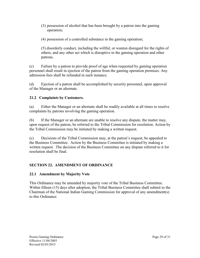- (3) possession of alcohol that has been brought by a patron into the gaming operation;
- (4) possession of a controlled substance in the gaming operation;

(5) disorderly conduct, including the willful, or wanton disregard for the rights of others, and any other act which is disruptive to the gaming operation and other patrons.

(c) Failure by a patron to provide proof of age when requested by gaming operation personnel shall result in ejection of the patron from the gaming operation premises. Any admission fees shall be refunded in such instance.

(d) Ejection of a patron shall be accomplished by security personnel, upon approval of the Manager or an alternate.

## **21.2 Complaints by Customers.**

(a) Either the Manager or an alternate shall be readily available at all times to resolve complaints by patrons involving the gaming operation.

(b) If the Manager or an alternate are unable to resolve any dispute, the matter may, upon request of the patron, be referred to the Tribal Commission for resolution. Action by the Tribal Commission may be initiated by making a written request.

(c) Decisions of the Tribal Commission may, at the patron's request, be appealed to the Business Committee. Action by the Business Committee is initiated by making a written request. The decision of the Business Committee on any dispute referred to it for resolution shall be final.

# **SECTION 22. AMENDMENT OF ORDINANCE**

## **22.1 Amendment by Majority Vote**

This Ordinance may be amended by majority vote of the Tribal Business Committee. Within fifteen (15) days after adoption, the Tribal Business Committee shall submit to the Chairman of the National Indian Gaming Commission for approval of any amendment(s) to this Ordinance.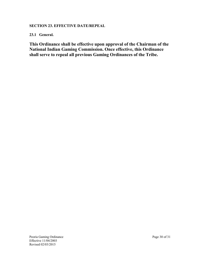## **SECTION 23. EFFECTIVE DATE/REPEAL**

## **23.1 General.**

**This Ordinance shall be effective upon approval of the Chairman of the National Indian Gaming Commission. Once effective, this Ordinance shall serve to repeal all previous Gaming Ordinances of the Tribe.**